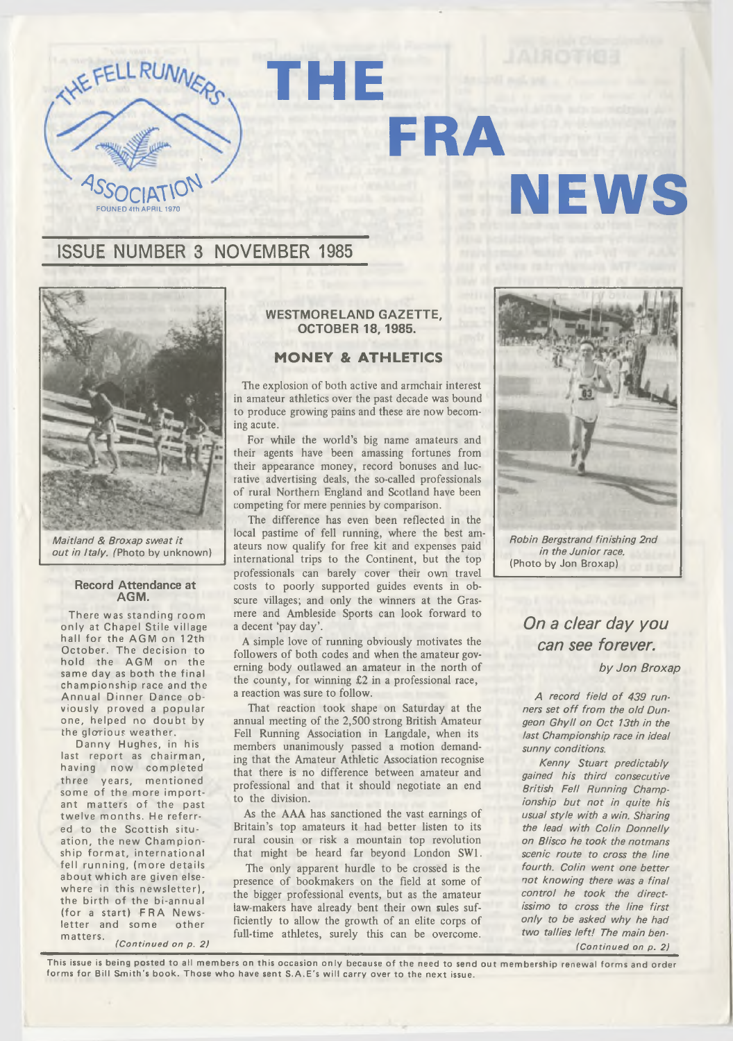

### **WESTMORELAND GAZETTE, OCTOBER 18, 1985.**

**FRA**

**THE**

### **M ONEY & ATHLETICS**

The explosion of both active and armchair interest in amateur athletics over the past decade was bound to produce growing pains and these are now becoming acute.

For while the world's big name amateurs and their agents have been amassing fortunes from their appearance money, record bonuses and lucrative advertising deals, the so-called professionals of rural Northern England and Scotland have been competing for mere pennies by comparison.

The difference has even been reflected in the local pastime of fell running, where the best amateurs now qualify for free kit and expenses paid international trips to the Continent, but the top professionals can barely cover their own travel costs to poorly supported guides events in obscure villages; and only the winners at the Grasmere and Ambleside Sports can look forward to a decent 'pay day'.

A simple love of running obviously motivates the followers of both codes and when the amateur governing body outlawed an amateur in the north of the county, for winning £2 in a professional race, a reaction was sure to follow.

That reaction took shape on Saturday at the annual meeting of the 2,500 strong British Amateur Fell Running Association in Langdale, when its members unanimously passed a motion demanding that the Amateur Athletic Association recognise that there is no difference between amateur and professional and that it should negotiate an end to the division.

As the AAA has sanctioned the vast earnings of Britain's top amateurs it had better listen to its rural cousin or risk a mountain top revolution that might be heard far beyond London SW1.

The only apparent hurdle to be crossed is the presence of bookmakers on the Field at some of the bigger professional events, but as the amateur law-makers have already bent their own sules sufficiently to allow the growth of an elite corps of full-time athletes, surely this can be overcome.

*Robin Bergstrand finishing 2nd in the Junior race.* **(Photo by Jon Broxap)**

**NEWS**

*On a dear day you can see forever.*

*by Jon Broxap*

A record field of 439 runners set off from the old Dun*geon G hyll on Oct 13th in the last Championship race in ideal sunny conditions.*

*Kenny Stuart predictably gained his third consecutive British Fell Running Championship but not in quite his usual style with a win. Sharing the lead with Colin Donnelly* **on Blisco he took the notmans** *scenic route to cross the line fourth. Colin went one better not know ing there was a final control he took the directissimo to cross the line first only to be asked why he had two tallies le ft! The main ben- (Continued on p. 2)*

This issue is being posted to all members on this occasion only because of the need to send out membership renewal forms and order forms for Bill Smith's book. Those who have sent S.A.E's will carry over to the next issue.





*Maitland & Broxap sweat it out in Italy.* (Photo by unknown)

### **Record Attendance at AGM.**

**There was standing room only at Chapel Stile village hall for the AG M on 12th October. The decision to** hold the AGM on the **same day as both the final championship race and the Annual Dinner Dance obviously proved a popular one, helped no doubt by the glorious weather.**

Danny Hughes, in his last report as chairman, **having now completed three years, mentioned some of the more important matters of the past twelve months. He referred to the Scottish situation, the new Championship format, international fell running, (more details about which are given elsewhere in this new sletter), the birth of the bi-annual** (for a start) FRA News**letter and some other matters. ,**

*(Continued on p. 2)*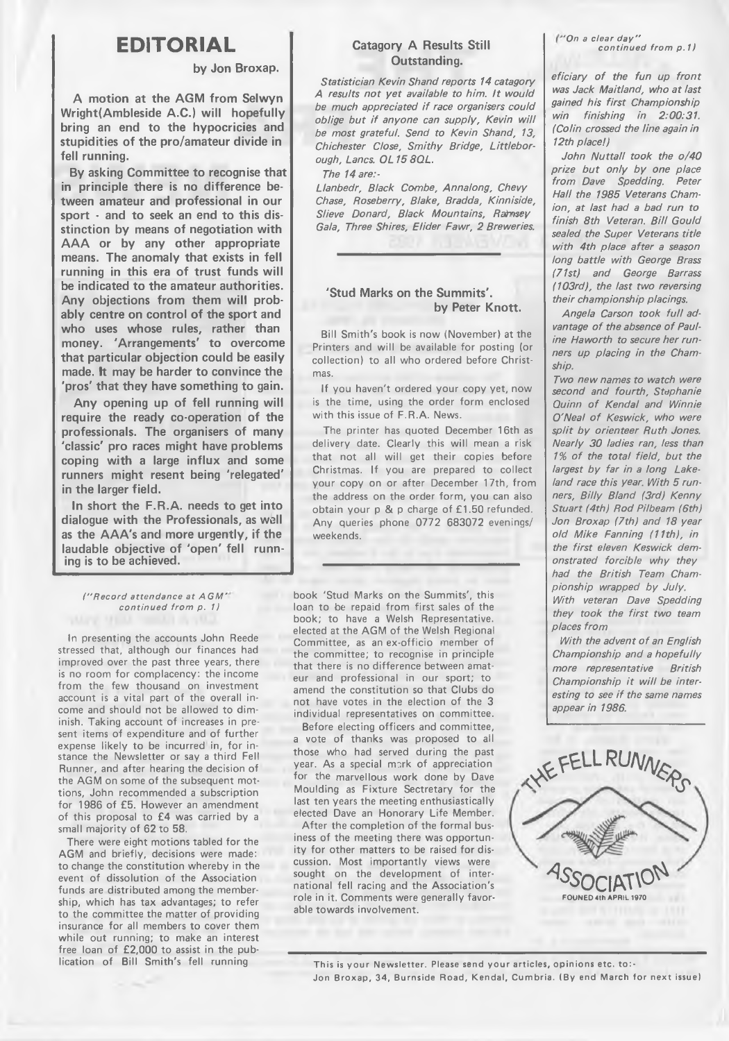# **EDITORIAL**

### **by Jon Broxap.**

**A motion at the AGM from Selwyn Wright(Ambleside A.C.) will hopefully bring an end to the hypocricies and stupidities of the pro/amateur divide in fell running.**

**By asking Committee to recognise that in principle there is no difference between amateur and professional in our sport - and to seek an end to this disstinction by means of negotiation with AAA or by any other appropriate means. The anomaly that exists in fell running in this era of trust funds will be indicated to the amateur authorities. Any objections from them will probably centre on control of the sport and who uses whose rules, rather than money. 'Arrangements' to overcome that particular objection could be easily made. It may be harder to convince the 'pros' that they have something to gain.**

**Any opening up of fell running will require the ready co-operation of the professionals. The organisers of many 'classic' pro races might have problems coping with a large influx and some runners might resent being 'relegated' in the larger field.**

**In short the F.R.A. needs to get into dialogue with the Professionals, as well as the AAA's and more urgently, if the laudable objective of 'open' fell running is to be achieved.**

*(" Record attendance at A G M ' continued from p. 1)*

**In presenting the accounts John Reede stressed that, although our finances had improved over the past three years, there is no room for complacency: the income from the few thousand on investment account is a vital part of the overall income and should not be allowed to dim inish. Taking account of increases in present items of expenditure and of further expense likely to be incurred in, for instance the Newsletter or say a third Fell Runner, and after hearing the decision of the AGM on some of the subsequent mottions, John recommended a subscription for 1986 of £5. However an amendment of this proposal to £4 was carried by a small majority of 62 to 58.**

**There were eight motions tabled for the AGM and briefly, decisions were made: to change the constitution whereby in the event of dissolution of the Association funds are distributed among the membership, which has tax advantages; to refer to the committee the matter of providing insurance for ail members to cover them while out running; to make an interest free loan of £2,000 to assist in the publication of Bill Smith's fell running**

### **Catagory A Results Still Outstanding.**

*Statistician Kevin Shand reports 14 catagory* A results not yet available to him. It would be much appreciated if race organisers could *oblige but if anyone can supply, Kevin will be most grateful. Send to Kevin Shand, 13, Chichester Close, Sm ithy Bridge, Littleborough, Lancs. OL 15 8QL.*

*The 14 are:-*

Llanbedr, Black Combe, Annalong, Chevy *Chase, Roseberry, Blake, Bradda, Kinniside,* **Slieve Donard, Black Mountains, Rahmsey** *Gala, Three Shires, Elider Fawr, 2 Breweries.*

## **'Stud Marks on the Summits'. by Peter Knott.**

**Bill Smith's book is now (November) at the Printers and will be available for posting (or collection) to all who ordered before Christmas.**

**If you haven't ordered your copy yet, now is the time, using the order form enclosed with this issue of F.R.A. News.**

**The printer has quoted December 16th as delivery date. Clearly this will mean a risk that not all will get their copies before Christmas. If you are prepared to collect your copy on or after December 17th, from** the address on the order form, you can also **obtain your p & p charge of £1.50 refunded. Any queries phone 0772 683072 evenings/ weekends.**

**book 'Stud Marks on the Summits', this loan to be repaid from first sales of the book; to have a Welsh Representative, elected at the AGM of the Welsh Regional Committee, as an ex-officio member of the committee; to recognise in principle that there is no difference between amateur and professional in our sport; to amend the constitution so that Clubs do not have votes in the election of the 3 individual representatives on committee.**

**Before electing officers and committee, a vote of thanks was proposed to all those who had served during the past year. As a special nmrk of appreciation for the marvellous work done by Dave Moulding as Fixture Sectretary for the last ten years the meeting enthusiastically elected Dave an Honorary Life Member.**

**After the completion of the formal business of the meeting there was opportunity for other matters to be raised for discussion. Most importantly views were sought on the development of international fell racing and the Association's role in it. Comments were generally favorable towards involvement.**

*'On a clear d ay " continued from p. 11*

eficiary of the fun up front was Jack Maitland, who at last *gained his first Championship win finishing in 2:00:31. (Colin crossed the line again in 12th place!)*

John Nuttall took the o/40 prize but only by one place *from Dave Spedding. Peter Hall the 1985 Veterans Chamion, at last had a bad run to* finish 8th Veteran. Bill Gould *sealed the Super Veterans title with 4th place after a season long battle with George Brass (71st) and George Barrass (103rd), the last two reversing their championship placings.*

Angela Carson took full advantage of the absence of Paul*ine Haworth to secure her runners up placing in the Chamship.*

*Two new names to watch were second and fourth, Stephanie* Quinn of Kendal and Winnie **O'Neal of Keswick, who were** *split by orienteer Ruth Jones. Nearly 30 ladies ran, less than* 1% of the total field, but the *largest by far in a long Lakeland race this year. With 5 runners, B illy Bland (3rd) Kenny Stuart (4th) Rod PUbeam (6th) Jon Broxap (7th) and 18 year old Mike Fanning (11th), in the first eleven Keswick demonstrated forcible why they had the British Team Championship wrapped by July. With veteran Dave Spedding they took the first two team places from*

*With the advent of an English Championship and a hopefully more representative British Championship it will be inter*esting to see if the same names *appear in 1986.*



This is your Newsletter. Please send your articles, opinions etc. to:-Jon Broxap, 34, Burnside Road, Kendal, Cumbria. (By end March for next issue)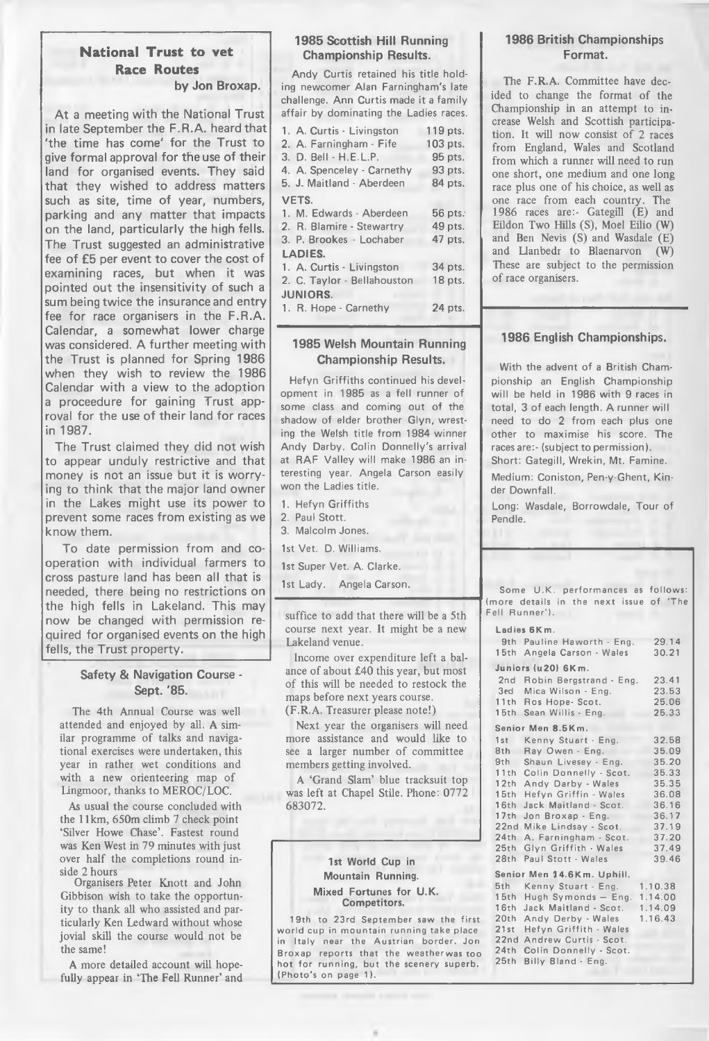## **National Trust to vet Race Routes**

**by Jon Broxap.**

**At a meeting with the National Trust in late September the F.R.A. heard that 'the time has come' for the Trust to give formal approval for the use of their land for organised events. They said that they wished to address matters such as site, time of year, numbers, parking and any matter that impacts on the land, particularly the high fells. The Trust suggested an administrative fee of £5 per event to cover the cost of examining races, but when it was pointed out the insensitivity of such a sum being twice the insurance and entry fee for race organisers in the F.R.A. Calendar, a somewhat lower charge was considered. A further meeting with the Trust is planned for Spring 1986 when they wish to review the 1986 Calendar with a view to the adoption a proceedure for gaining Trust approval for the use of their land for races in 1987.**

**The Trust claimed they did not wish to appear unduly restrictive and that money is not an issue but it is worrying to think that the major land owner in the Lakes might use its power to prevent some races from existing as we know them.**

**To date permission from and cooperation with individual farmers to cross pasture land has been all that is needed, there being no restrictions on the high fells in Lakeland. This may now be changed with permission required for organised events on the high fells, the Trust property.**

### **Safety & Navigation Course - Sept. '85.**

The 4th Annual Course was well attended and enjoyed by all. A similar programme of talks and navigational exercises were undertaken, this year in rather wet conditions and with a new orienteering map of Lingmoor, thanks to MEROC/LOC.

As usual the course concluded with the 11km, 650m climb 7 check point 'Silver Howe Chase'. Fastest round was Ken West in 79 minutes with just over half the completions round inside 2 hours

Organisers Peter Knott and John Gibbison wish to take the opportunity to thank all who assisted and particularly Ken Ledward without whose jovial skill the course would not be the same!

A more detailed account will hopefully appear in 'The Fell Runner' and

### **1985 Scottish Hill Running Championship Results.**

**Andy Curtis retained his title holding newcomer Alan Farningham's late challenge. Ann Curtis made it a family affair by dominating the Ladies races.**

| 1. A. Curtis - Livingston   | 119 pts. |
|-----------------------------|----------|
| 2. A. Farningham - Fife     | 103 pts. |
| 3. D. Bell - H.E.L.P.       | 95 pts.  |
| 4. A. Spenceley - Carnethy  | 93 pts.  |
| 5. J. Maitland - Aberdeen   | 84 pts.  |
| <b>VETS.</b>                |          |
| 1. M. Edwards - Aberdeen    | 56 pts.  |
| 2. R. Blamire - Stewartry   | 49 pts.  |
| 3. P. Brookes - Lochaber    | 47 pts.  |
| <b>LADIES.</b>              |          |
| 1. A. Curtis - Livingston   | 34 pts.  |
| 2. C. Taylor - Bellahouston | 18 pts.  |
| <b>JUNIORS.</b>             |          |
| 1. R. Hope - Carnethy       | 24 pts.  |

## **1985 Welsh Mountain Running Championship Results.**

**Hefyn Griffiths continued his development in 1985 as a fell runner of some class and coming out of the shadow of elder brother Glyn, wresting the Welsh title from 1984 winner Andy Darby. Colin Donnelly's arrival at RAF Valley will make 1986 an interesting year. Angela Carson easily won the Ladies title.**

**1. Hefyn Griffiths**

**2. Paul Stott.**

**3. Malcolm Jones.**

**1st Vet. D. Williams.**

**1st Super Vet. A. Clarke.**

**1st Lady. Angela Carson.**

suffice to add that there will be a 5th course next year. It might be a new Lakeland venue.

Income over expenditure left a balance of about £40 this year, but most of this will be needed to restock the maps before next years course. (F.R.A. Treasurer please note!)

Next year the organisers will need more assistance and would like to see a larger number of committee members getting involved.

A 'Grand Slam' blue tracksuit top was left at Chapel Stile. Phone: 0772 683072.

### **1st World Cup in Mountain Running. Mixed Fortunes for U.K. Competitors.**

**19th to 23rd September saw the first** world cup in mountain running take place in Italy near the Austrian border. Jon **Broxap reports that the weatherwas too hot for running, but the scenery superb. (Photo's on page 1).**

## **1986 British Championships Format.**

The F.R.A. Committee have decided to change the format of the Championship in an attempt to increase Welsh and Scottish participation. It will now consist of 2 races from England, Wales and Scotland from which a runner will need to run one short, one medium and one long race plus one of his choice, as well as one race from each country. The 1986 races are:- Gategill (E) and Eildon Two Hills (S), Moel Eilio (W) and Ben Nevis (S) and Wasdale (E) and Llanbedr to Blaenarvon (W) These are subject to the permission of race organisers.

## **1986 English Championships.**

**With the advent of a British Championship an English Championship will be held in 1986 with 9 races in total, 3 of each length. A runner will need to do 2 from each plus one other to maximise his score. The races are:- (subject to permission). Short: Gategill, Wrekin, Mt. Famine.**

**Medium: Coniston, Pen-y-Ghent, Kinder Downfall.**

**Long: Wasdale, Borrowdale, Tour of Pendle.**

|                                         | Some U.K. performances as follows: |  |  |  |
|-----------------------------------------|------------------------------------|--|--|--|
| (more details in the next issue of 'The |                                    |  |  |  |
| Fell Runner').                          |                                    |  |  |  |

| Ladies 6Km. |  |  |  |
|-------------|--|--|--|
|-------------|--|--|--|

|                            | <b>LUUIUS VININ.</b>                                                                                                                                                                                                                                                                                                                                                                                                                                             |         |  |  |  |
|----------------------------|------------------------------------------------------------------------------------------------------------------------------------------------------------------------------------------------------------------------------------------------------------------------------------------------------------------------------------------------------------------------------------------------------------------------------------------------------------------|---------|--|--|--|
|                            | 9th Pauline Haworth - Eng.                                                                                                                                                                                                                                                                                                                                                                                                                                       | 29.14   |  |  |  |
| 15th                       | Angela Carson - Wales                                                                                                                                                                                                                                                                                                                                                                                                                                            | 30.21   |  |  |  |
|                            | Juniors (u20) 6Km.                                                                                                                                                                                                                                                                                                                                                                                                                                               |         |  |  |  |
| 2nd                        | Robin Bergstrand - Eng.                                                                                                                                                                                                                                                                                                                                                                                                                                          | 23.41   |  |  |  |
| 3ed                        | Mica Wilson - Eng.                                                                                                                                                                                                                                                                                                                                                                                                                                               | 23.53   |  |  |  |
| 11th                       | Ros Hope- Scot.                                                                                                                                                                                                                                                                                                                                                                                                                                                  | 25.06   |  |  |  |
| 15th                       | Sean Willis - Eng.                                                                                                                                                                                                                                                                                                                                                                                                                                               | 25.33   |  |  |  |
|                            | Senior Men 8.5Km.                                                                                                                                                                                                                                                                                                                                                                                                                                                |         |  |  |  |
| 1st                        | Kenny Stuart - Eng.                                                                                                                                                                                                                                                                                                                                                                                                                                              | 32.58   |  |  |  |
| 8th                        | Ray Owen - Eng.                                                                                                                                                                                                                                                                                                                                                                                                                                                  | 35.09   |  |  |  |
| 9th                        | Shaun Livesey - Eng.                                                                                                                                                                                                                                                                                                                                                                                                                                             | 35.20   |  |  |  |
| 11th                       | Colin Donnelly - Scot.                                                                                                                                                                                                                                                                                                                                                                                                                                           | 35.33   |  |  |  |
| 12th                       | Andy Darby - Wales                                                                                                                                                                                                                                                                                                                                                                                                                                               | 35.35   |  |  |  |
| 15 <sub>th</sub>           | Hefyn Griffin - Wales                                                                                                                                                                                                                                                                                                                                                                                                                                            | 36.08   |  |  |  |
| 16th                       | Jack Maitland - Scot.                                                                                                                                                                                                                                                                                                                                                                                                                                            | 36.16   |  |  |  |
| 17th                       | Jon Broxap - Eng.                                                                                                                                                                                                                                                                                                                                                                                                                                                | 36.17   |  |  |  |
|                            | 22nd Mike Lindsay - Scot.                                                                                                                                                                                                                                                                                                                                                                                                                                        | 37.19   |  |  |  |
| 24th                       | A. Farningham - Scot.                                                                                                                                                                                                                                                                                                                                                                                                                                            | 37.20   |  |  |  |
| 25th                       | Glyn Griffith - Wales                                                                                                                                                                                                                                                                                                                                                                                                                                            | 37.49   |  |  |  |
| 28 <sub>th</sub>           | Paul Stott - Wales                                                                                                                                                                                                                                                                                                                                                                                                                                               | 39.46   |  |  |  |
| Senior Men 14.6Km. Uphill. |                                                                                                                                                                                                                                                                                                                                                                                                                                                                  |         |  |  |  |
| 5th                        | Kenny Stuart - Eng.                                                                                                                                                                                                                                                                                                                                                                                                                                              | 1.10.38 |  |  |  |
| 15th                       | Hugh Symonds - Eng.                                                                                                                                                                                                                                                                                                                                                                                                                                              | 1.14.00 |  |  |  |
| 16th                       | Jack Maitland - Scot.                                                                                                                                                                                                                                                                                                                                                                                                                                            | 1.14.09 |  |  |  |
| 20th                       | Andy Derby - Wales                                                                                                                                                                                                                                                                                                                                                                                                                                               | 1.16.43 |  |  |  |
| $\sim$ $\sim$              | $\left  \left( \left( \begin{array}{cc} 1 & 0 & 0 \\ 0 & -1 & 0 \end{array} \right) \right  \right  \leq \left  \left( \begin{array}{cc} 1 & 0 & 0 \\ 0 & -1 & 0 \end{array} \right) \right  \leq \left  \left( \begin{array}{cc} 1 & 0 & 0 \\ 0 & -1 & 0 \end{array} \right) \right  \leq \left  \left( \begin{array}{cc} 1 & 0 & 0 \\ 0 & -1 & 0 \end{array} \right) \leq \left  \left( \begin{array}{cc} 1 & 0 & 0 \\ 0 & -1 & 0 \end{array} \right) \right $ |         |  |  |  |

**2 1 s t H e f y n G r i f f i t h - Wales** 22nd Andrew Curtis - Scot. 24th Colin Donnelly - Scot. 25th Billy Bland - Eng.